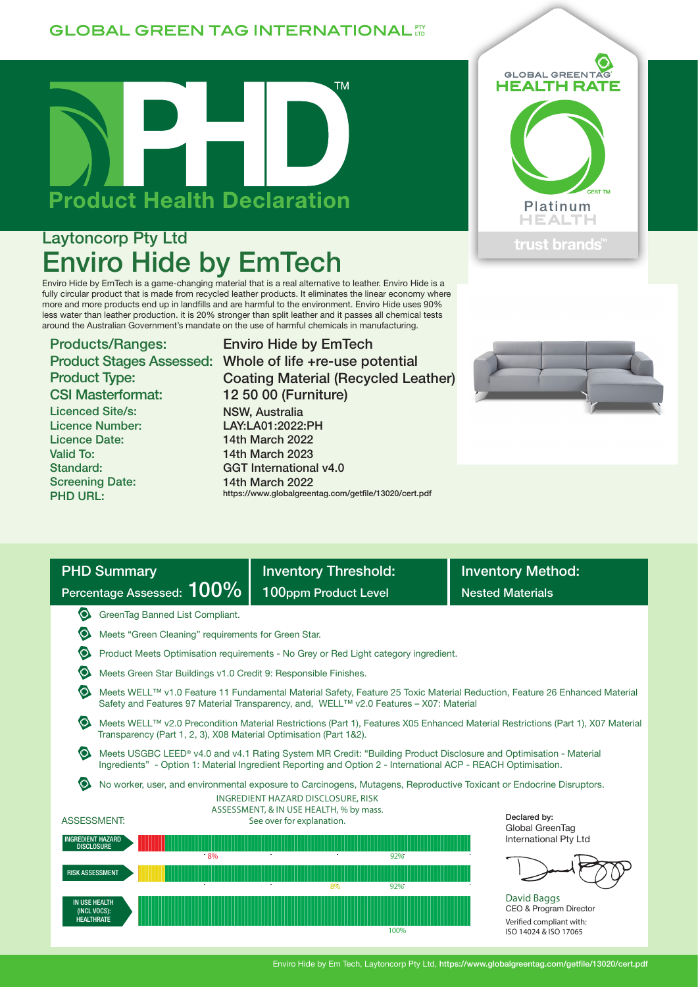## **GLOBAL GREEN TAG INTERNATIONAL TT**



# Laytoncorp Pty Ltd Enviro Hide by EmTech

Enviro Hide by EmTech is a game-changing material that is a real alternative to leather. Enviro Hide is a fully circular product that is made from recycled leather products. It eliminates the linear economy where more and more products end up in landfills and are harmful to the environment. Enviro Hide uses 90% less water than leather production. it is 20% stronger than split leather and it passes all chemical tests around the Australian Government's mandate on the use of harmful chemicals in manufacturing.

Products/Ranges: Product Type: CSI Masterformat:

Licenced Site/s: Licence Number: Licence Date: Valid To: Standard: Screening Date: PHD URL:

Product Stages Assessed: Whole of life +re-use potential Enviro Hide by EmTech Coating Material (Recycled Leather) 12 50 00 (Furniture) NSW, Australia LAY:LA01:2022:PH 14th March 2022 14th March 2023 GGT International v4.0 14th March 2022 https://www.globalgreentag.com/getfile/13020/cert.pdf





| <b>PHD Summary</b>                                                                                                                                                                                                                 | <b>Inventory Threshold:</b>                                                                                                                                                                            | <b>Inventory Method:</b>                                          |  |  |  |  |  |  |  |  |  |
|------------------------------------------------------------------------------------------------------------------------------------------------------------------------------------------------------------------------------------|--------------------------------------------------------------------------------------------------------------------------------------------------------------------------------------------------------|-------------------------------------------------------------------|--|--|--|--|--|--|--|--|--|
| Percentage Assessed: 100%                                                                                                                                                                                                          | 100ppm Product Level                                                                                                                                                                                   | <b>Nested Materials</b>                                           |  |  |  |  |  |  |  |  |  |
| O<br>GreenTag Banned List Compliant.                                                                                                                                                                                               |                                                                                                                                                                                                        |                                                                   |  |  |  |  |  |  |  |  |  |
|                                                                                                                                                                                                                                    | Meets "Green Cleaning" requirements for Green Star.                                                                                                                                                    |                                                                   |  |  |  |  |  |  |  |  |  |
| Product Meets Optimisation requirements - No Grey or Red Light category ingredient.                                                                                                                                                |                                                                                                                                                                                                        |                                                                   |  |  |  |  |  |  |  |  |  |
| Meets Green Star Buildings v1.0 Credit 9: Responsible Finishes.                                                                                                                                                                    |                                                                                                                                                                                                        |                                                                   |  |  |  |  |  |  |  |  |  |
| Meets WELL™ v1.0 Feature 11 Fundamental Material Safety, Feature 25 Toxic Material Reduction, Feature 26 Enhanced Material<br>Safety and Features 97 Material Transparency, and, WELL™ v2.0 Features - X07: Material               |                                                                                                                                                                                                        |                                                                   |  |  |  |  |  |  |  |  |  |
|                                                                                                                                                                                                                                    | Meets WELL™ v2.0 Precondition Material Restrictions (Part 1), Features X05 Enhanced Material Restrictions (Part 1), X07 Material<br>Transparency (Part 1, 2, 3), X08 Material Optimisation (Part 1&2). |                                                                   |  |  |  |  |  |  |  |  |  |
| Meets USGBC LEED® v4.0 and v4.1 Rating System MR Credit: "Building Product Disclosure and Optimisation - Material<br>Ingredients" - Option 1: Material Ingredient Reporting and Option 2 - International ACP - REACH Optimisation. |                                                                                                                                                                                                        |                                                                   |  |  |  |  |  |  |  |  |  |
| No worker, user, and environmental exposure to Carcinogens, Mutagens, Reproductive Toxicant or Endocrine Disruptors.<br>INGREDIENT HAZARD DISCLOSURE, RISK                                                                         |                                                                                                                                                                                                        |                                                                   |  |  |  |  |  |  |  |  |  |
| <b>ASSESSMENT:</b>                                                                                                                                                                                                                 | ASSESSMENT, & IN USE HEALTH, % by mass.<br>See over for explanation.                                                                                                                                   |                                                                   |  |  |  |  |  |  |  |  |  |
| <b>INGREDIENT HAZARD</b><br><b>DISCLOSURE</b>                                                                                                                                                                                      | Global GreenTag<br>International Pty Ltd                                                                                                                                                               |                                                                   |  |  |  |  |  |  |  |  |  |
| 8%                                                                                                                                                                                                                                 | 92%                                                                                                                                                                                                    |                                                                   |  |  |  |  |  |  |  |  |  |
| <b>RISK ASSESSMENT</b>                                                                                                                                                                                                             | 92%<br>8%                                                                                                                                                                                              |                                                                   |  |  |  |  |  |  |  |  |  |
| <b>IN USE HEALTH</b><br>(INCL VOCS):<br><b>HEALTHRATE</b>                                                                                                                                                                          |                                                                                                                                                                                                        | David Baggs<br>CEO & Program Director<br>Verified compliant with: |  |  |  |  |  |  |  |  |  |

Verified compliant with: ISO 14024 & ISO 17065

#### Enviro Hide by Em Tech, Laytoncorp Pty Ltd, https://www.globalgreentag.com/getfile/13020/cert.pdf

100%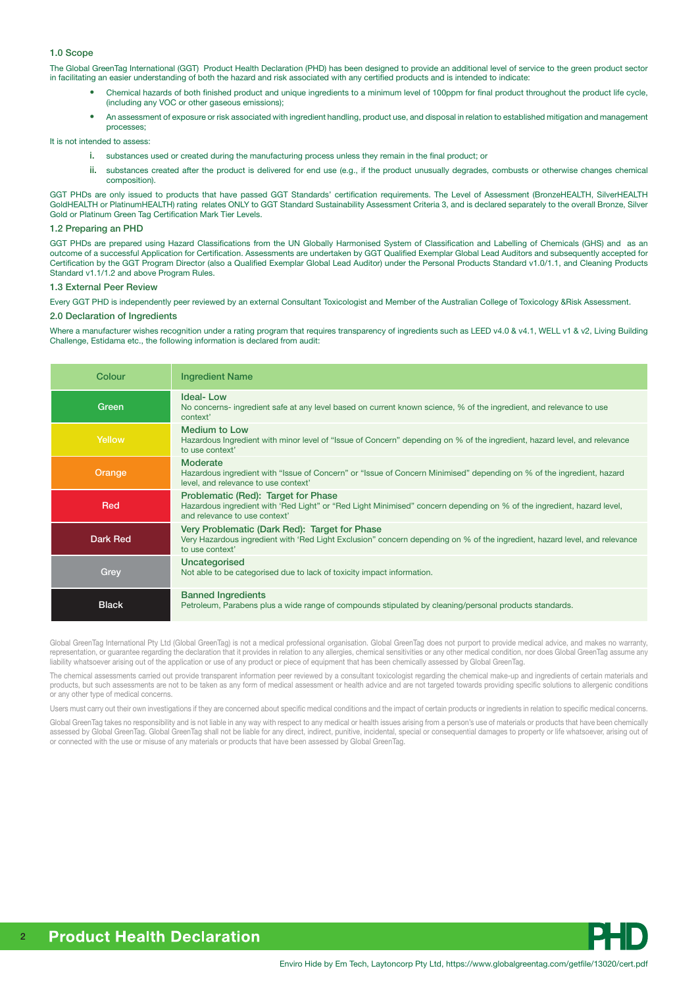#### 1.0 Scope

The Global GreenTag International (GGT) Product Health Declaration (PHD) has been designed to provide an additional level of service to the green product sector in facilitating an easier understanding of both the hazard and risk associated with any certified products and is intended to indicate:

- Chemical hazards of both finished product and unique ingredients to a minimum level of 100ppm for final product throughout the product life cycle, (including any VOC or other gaseous emissions);
- An assessment of exposure or risk associated with ingredient handling, product use, and disposal in relation to established mitigation and management processes;

It is not intended to assess:

- i. substances used or created during the manufacturing process unless they remain in the final product; or
- ii. substances created after the product is delivered for end use (e.g., if the product unusually degrades, combusts or otherwise changes chemical composition).

GGT PHDs are only issued to products that have passed GGT Standards' certification requirements. The Level of Assessment (BronzeHEALTH, SilverHEALTH GoldHEALTH or PlatinumHEALTH) rating relates ONLY to GGT Standard Sustainability Assessment Criteria 3, and is declared separately to the overall Bronze, Silver Gold or Platinum Green Tag Certification Mark Tier Levels.

#### 1.2 Preparing an PHD

GGT PHDs are prepared using Hazard Classifications from the UN Globally Harmonised System of Classification and Labelling of Chemicals (GHS) and as an outcome of a successful Application for Certification. Assessments are undertaken by GGT Qualified Exemplar Global Lead Auditors and subsequently accepted for Certification by the GGT Program Director (also a Qualified Exemplar Global Lead Auditor) under the Personal Products Standard v1.0/1.1, and Cleaning Products Standard v1.1/1.2 and above Program Rules.

#### 1.3 External Peer Review

Every GGT PHD is independently peer reviewed by an external Consultant Toxicologist and Member of the Australian College of Toxicology &Risk Assessment.

### 2.0 Declaration of Ingredients

Where a manufacturer wishes recognition under a rating program that requires transparency of ingredients such as LEED v4.0 & v4.1, WELL v1 & v2, Living Building Challenge, Estidama etc., the following information is declared from audit:

| Colour       | <b>Ingredient Name</b>                                                                                                                                                                         |
|--------------|------------------------------------------------------------------------------------------------------------------------------------------------------------------------------------------------|
| Green        | <b>Ideal-Low</b><br>No concerns- ingredient safe at any level based on current known science, % of the ingredient, and relevance to use<br>context'                                            |
| Yellow       | <b>Medium to Low</b><br>Hazardous Ingredient with minor level of "Issue of Concern" depending on % of the ingredient, hazard level, and relevance<br>to use context'                           |
| Orange       | <b>Moderate</b><br>Hazardous ingredient with "Issue of Concern" or "Issue of Concern Minimised" depending on % of the ingredient, hazard<br>level, and relevance to use context'               |
| Red          | Problematic (Red): Target for Phase<br>Hazardous ingredient with 'Red Light" or "Red Light Minimised" concern depending on % of the ingredient, hazard level,<br>and relevance to use context' |
| Dark Red     | Very Problematic (Dark Red): Target for Phase<br>Very Hazardous ingredient with 'Red Light Exclusion" concern depending on % of the ingredient, hazard level, and relevance<br>to use context' |
| Grey         | Uncategorised<br>Not able to be categorised due to lack of toxicity impact information.                                                                                                        |
| <b>Black</b> | <b>Banned Ingredients</b><br>Petroleum, Parabens plus a wide range of compounds stipulated by cleaning/personal products standards.                                                            |

Global GreenTag International Pty Ltd (Global GreenTag) is not a medical professional organisation. Global GreenTag does not purport to provide medical advice, and makes no warranty, representation, or guarantee regarding the declaration that it provides in relation to any allergies, chemical sensitivities or any other medical condition, nor does Global GreenTag assume any liability whatsoever arising out of the application or use of any product or piece of equipment that has been chemically assessed by Global GreenTag.

The chemical assessments carried out provide transparent information peer reviewed by a consultant toxicologist regarding the chemical make-up and ingredients of certain materials and products, but such assessments are not to be taken as any form of medical assessment or health advice and are not targeted towards providing specific solutions to allergenic conditions or any other type of medical concerns.

Users must carry out their own investigations if they are concerned about specific medical conditions and the impact of certain products or ingredients in relation to specific medical concerns.

Global GreenTag takes no responsibility and is not liable in any way with respect to any medical or health issues arising from a person's use of materials or products that have been chemically assessed by Global GreenTag. Global GreenTag shall not be liable for any direct, indirect, punitive, incidental, special or consequential damages to property or life whatsoever, arising out of or connected with the use or misuse of any materials or products that have been assessed by Global GreenTag.